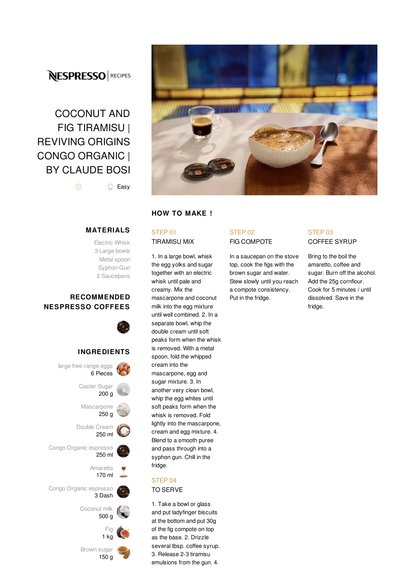## **NESPRESSO** RECIPES

# COCONUT AND FIG TIRAMISU | REVIVING ORIGINS CONGO ORGANIC | BY CLAUDE BOSI

 $\circledR$ △ Easy

**MATERIALS**

Electric Whisk 3 Large bowls Metal spoon Syphon Gun 2 Saucepans

## **RECOMMENDED NESPRESSO COFFEES**



## **INGREDIENTS**





## **HOW TO MAKE !**

## STEP 01

TIRAMISU MIX

1. In a large bowl, whisk the egg yolks and sugar together with an electric whisk until pale and creamy. Mix the mascarpone and coconut milk into the egg mixture until well combined. 2. In a separate bowl, whip the double cream until soft peaks form when the whisk is removed. With a metal spoon, fold the whipped cream into the mascarpone, egg and sugar mixture. 3. In another very clean bowl, whip the egg whites until soft peaks form when the whisk is removed. Fold lightly into the mascarpone, cream and egg mixture. 4. Blend to a smooth puree and pass through into a syphon gun. Chill in the fridge.

## STEP 04

#### TO SERVE

1. Take a bowl or glass and put ladyfinger biscuits at the bottom and put 30g of the fig compote on top as the base. 2. Drizzle several tbsp. coffee syrup. 3. Release 2-3 tiramisu emulsions from the gun. 4.

#### STEP 02 FIG COMPOTE

In a saucepan on the stove top, cook the figs with the brown sugar and water. Stew slowly until you reach a compote consistency. Put in the fridge.

### STEP 03 COFFEE SYRUP

Bring to the boil the amaretto, coffee and sugar. Burn off the alcohol. Add the 25g cornflour. Cook for 5 minutes / until dissolved. Save in the fridge.